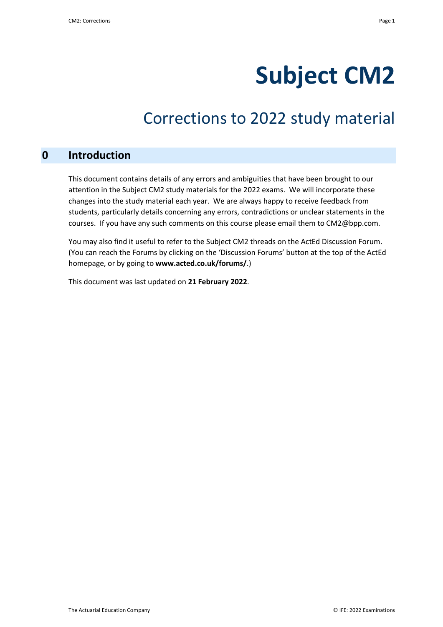# **Subject CM2**

# Corrections to 2022 study material

# **0 Introduction**

This document contains details of any errors and ambiguities that have been brought to our attention in the Subject CM2 study materials for the 2022 exams. We will incorporate these changes into the study material each year. We are always happy to receive feedback from students, particularly details concerning any errors, contradictions or unclear statements in the courses. If you have any such comments on this course please email them to CM2@bpp.com.

You may also find it useful to refer to the Subject CM2 threads on the ActEd Discussion Forum. (You can reach the Forums by clicking on the 'Discussion Forums' button at the top of the ActEd homepage, or by going to **www.acted.co.uk/forums/**.)

This document was last updated on **21 February 2022**.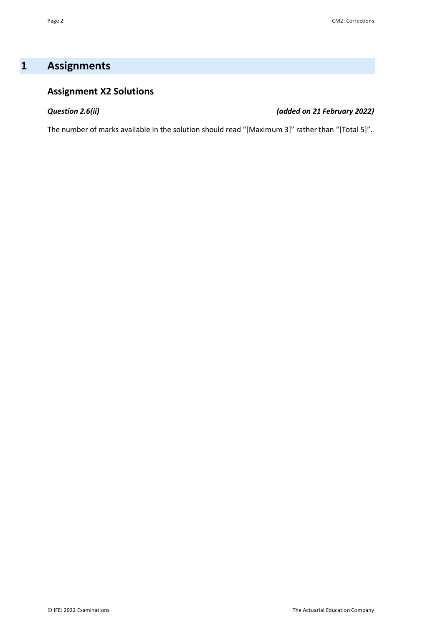# **1 Assignments**

# **Assignment X2 Solutions**

## *Question 2.6(ii) (added on 21 February 2022)*

The number of marks available in the solution should read "[Maximum 3]" rather than "[Total 5]".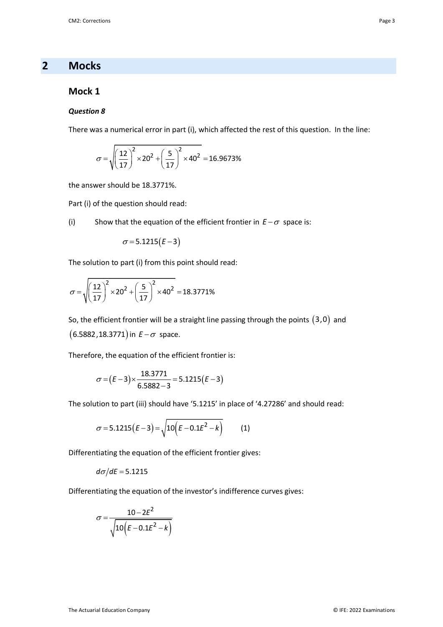# **2 Mocks**

## **Mock 1**

### *Question 8*

There was a numerical error in part (i), which affected the rest of this question. In the line:

$$
\sigma = \sqrt{\left(\frac{12}{17}\right)^2 \times 20^2 + \left(\frac{5}{17}\right)^2 \times 40^2} = 16.9673\%
$$

the answer should be 18.3771%.

Part (i) of the question should read:

(i) Show that the equation of the efficient frontier in  $E - \sigma$  space is:

$$
\sigma = 5.1215(E-3)
$$

The solution to part (i) from this point should read:

$$
\sigma = \sqrt{\left(\frac{12}{17}\right)^2 \times 20^2 + \left(\frac{5}{17}\right)^2 \times 40^2} = 18.3771\%
$$

So, the efficient frontier will be a straight line passing through the points  $(3,0)$  and  $(6.5882, 18.3771)$  in  $E - \sigma$  space.

Therefore, the equation of the efficient frontier is:

$$
\sigma = (E-3) \times \frac{18.3771}{6.5882 - 3} = 5.1215(E-3)
$$

The solution to part (iii) should have '5.1215' in place of '4.27286' and should read:

$$
\sigma = 5.1215(E-3) = \sqrt{10(E-0.1E^2-k)}\tag{1}
$$

Differentiating the equation of the efficient frontier gives:

 $d\sigma/dE = 5.1215$ 

Differentiating the equation of the investor's indifference curves gives:

$$
\sigma = \frac{10 - 2E^2}{\sqrt{10\left(E - 0.1E^2 - k\right)}}
$$